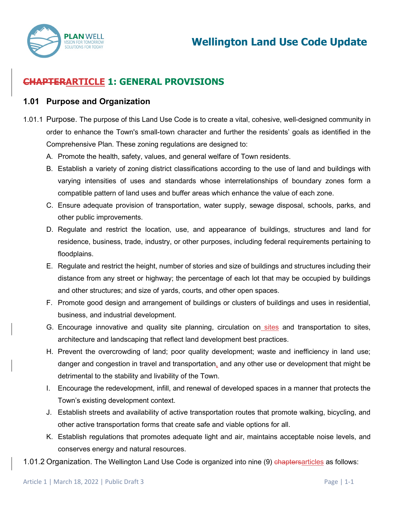

# **CHAPTERARTICLE 1: GENERAL PROVISIONS**

#### **1.01 Purpose and Organization**

- 1.01.1 Purpose. The purpose of this Land Use Code is to create a vital, cohesive, well-designed community in order to enhance the Town's small-town character and further the residents' goals as identified in the Comprehensive Plan. These zoning regulations are designed to:
	- A. Promote the health, safety, values, and general welfare of Town residents.
	- B. Establish a variety of zoning district classifications according to the use of land and buildings with varying intensities of uses and standards whose interrelationships of boundary zones form a compatible pattern of land uses and buffer areas which enhance the value of each zone.
	- C. Ensure adequate provision of transportation, water supply, sewage disposal, schools, parks, and other public improvements.
	- D. Regulate and restrict the location, use, and appearance of buildings, structures and land for residence, business, trade, industry, or other purposes, including federal requirements pertaining to floodplains.
	- E. Regulate and restrict the height, number of stories and size of buildings and structures including their distance from any street or highway; the percentage of each lot that may be occupied by buildings and other structures; and size of yards, courts, and other open spaces.
	- F. Promote good design and arrangement of buildings or clusters of buildings and uses in residential, business, and industrial development.
	- G. Encourage innovative and quality site planning, circulation on sites and transportation to sites, architecture and landscaping that reflect land development best practices.
	- H. Prevent the overcrowding of land; poor quality development; waste and inefficiency in land use; danger and congestion in travel and transportation, and any other use or development that might be detrimental to the stability and livability of the Town.
	- I. Encourage the redevelopment, infill, and renewal of developed spaces in a manner that protects the Town's existing development context.
	- J. Establish streets and availability of active transportation routes that promote walking, bicycling, and other active transportation forms that create safe and viable options for all.
	- K. Establish regulations that promotes adequate light and air, maintains acceptable noise levels, and conserves energy and natural resources.
- 1.01.2 Organization. The Wellington Land Use Code is organized into nine (9) chaptersarticles as follows: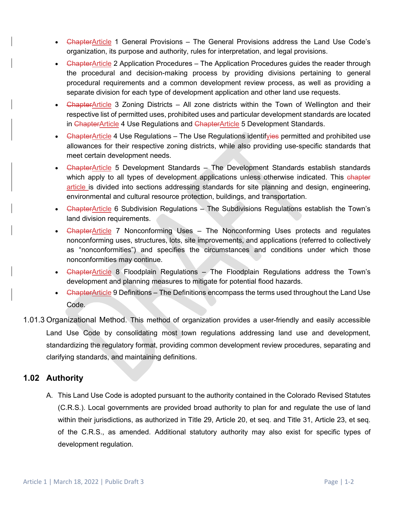- <del>Chapter</del>Article 1 General Provisions The General Provisions address the Land Use Code's organization, its purpose and authority, rules for interpretation, and legal provisions.
- ChapterArticle 2 Application Procedures The Application Procedures guides the reader through the procedural and decision-making process by providing divisions pertaining to general procedural requirements and a common development review process, as well as providing a separate division for each type of development application and other land use requests.
- <del>Chapter</del>Article 3 Zoning Districts All zone districts within the Town of Wellington and their respective list of permitted uses, prohibited uses and particular development standards are located in ChapterArticle 4 Use Regulations and ChapterArticle 5 Development Standards.
- <del>Chapter</del>Article 4 Use Regulations The Use Regulations identifyies permitted and prohibited use allowances for their respective zoning districts, while also providing use-specific standards that meet certain development needs.
- <del>Chapter</del>Article 5 Development Standards The Development Standards establish standards which apply to all types of development applications unless otherwise indicated. This chapter article is divided into sections addressing standards for site planning and design, engineering, environmental and cultural resource protection, buildings, and transportation.
- <del>Chapter</del>Article 6 Subdivision Regulations The Subdivisions Regulations establish the Town's land division requirements.
- ChapterArticle 7 Nonconforming Uses The Nonconforming Uses protects and regulates nonconforming uses, structures, lots, site improvements, and applications (referred to collectively as "nonconformities") and specifies the circumstances and conditions under which those nonconformities may continue.
- ChapterArticle 8 Floodplain Regulations The Floodplain Regulations address the Town's development and planning measures to mitigate for potential flood hazards.
- ChapterArticle 9 Definitions The Definitions encompass the terms used throughout the Land Use Code.
- 1.01.3 Organizational Method. This method of organization provides a user-friendly and easily accessible Land Use Code by consolidating most town regulations addressing land use and development, standardizing the regulatory format, providing common development review procedures, separating and clarifying standards, and maintaining definitions.

# **1.02 Authority**

A. This Land Use Code is adopted pursuant to the authority contained in the Colorado Revised Statutes (C.R.S.). Local governments are provided broad authority to plan for and regulate the use of land within their jurisdictions, as authorized in Title 29, Article 20, et seq. and Title 31, Article 23, et seq. of the C.R.S., as amended. Additional statutory authority may also exist for specific types of development regulation.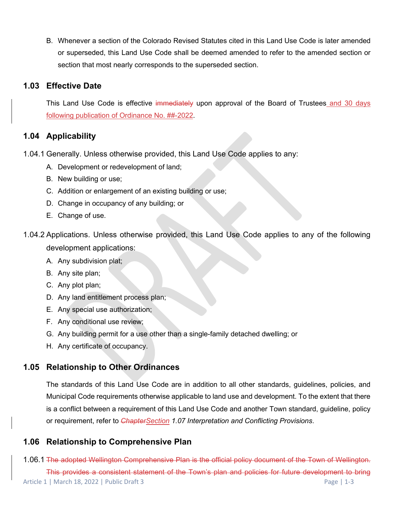B. Whenever a section of the Colorado Revised Statutes cited in this Land Use Code is later amended or superseded, this Land Use Code shall be deemed amended to refer to the amended section or section that most nearly corresponds to the superseded section.

## **1.03 Effective Date**

This Land Use Code is effective immediately upon approval of the Board of Trustees and 30 days following publication of Ordinance No. ##-2022.

# **1.04 Applicability**

- 1.04.1 Generally. Unless otherwise provided, this Land Use Code applies to any:
	- A. Development or redevelopment of land;
	- B. New building or use;
	- C. Addition or enlargement of an existing building or use;
	- D. Change in occupancy of any building; or
	- E. Change of use.
- 1.04.2 Applications. Unless otherwise provided, this Land Use Code applies to any of the following development applications:
	- A. Any subdivision plat;
	- B. Any site plan;
	- C. Any plot plan;
	- D. Any land entitlement process plan;
	- E. Any special use authorization;
	- F. Any conditional use review;
	- G. Any building permit for a use other than a single-family detached dwelling; or
	- H. Any certificate of occupancy.

# **1.05 Relationship to Other Ordinances**

The standards of this Land Use Code are in addition to all other standards, guidelines, policies, and Municipal Code requirements otherwise applicable to land use and development. To the extent that there is a conflict between a requirement of this Land Use Code and another Town standard, guideline, policy or requirement, refer to *ChapterSection 1.07 Interpretation and Conflicting Provisions*.

# **1.06 Relationship to Comprehensive Plan**

Article 1 | March 18, 2022 | Public Draft 3 Page | 1-3 1.06.1 The adopted Wellington Comprehensive Plan is the official policy document of the Town of Wellington. This provides a consistent statement of the Town's plan and policies for future development to bring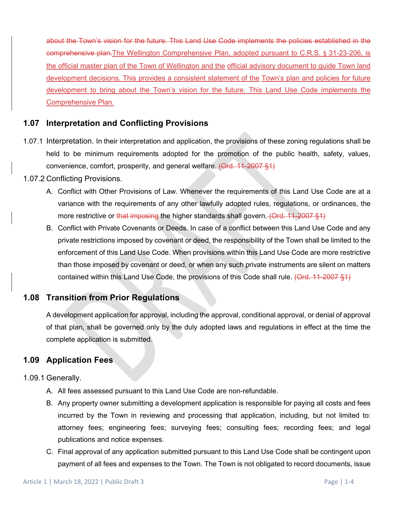about the Town's vision for the future. This Land Use Code implements the policies established in the comprehensive plan.The Wellington Comprehensive Plan, adopted pursuant to C.R.S. § 31-23-206, is the official master plan of the Town of Wellington and the official advisory document to guide Town land development decisions. This provides a consistent statement of the Town's plan and policies for future development to bring about the Town's vision for the future. This Land Use Code implements the Comprehensive Plan.

## **1.07 Interpretation and Conflicting Provisions**

1.07.1 Interpretation. In their interpretation and application, the provisions of these zoning regulations shall be held to be minimum requirements adopted for the promotion of the public health, safety, values, convenience, comfort, prosperity, and general welfare. (Ord. 11-2007 §1)

#### 1.07.2 Conflicting Provisions.

- A. Conflict with Other Provisions of Law. Whenever the requirements of this Land Use Code are at a variance with the requirements of any other lawfully adopted rules, regulations, or ordinances, the more restrictive or that imposing the higher standards shall govern. (Ord. 11-2007 §1)
- B. Conflict with Private Covenants or Deeds. In case of a conflict between this Land Use Code and any private restrictions imposed by covenant or deed, the responsibility of the Town shall be limited to the enforcement of this Land Use Code. When provisions within this Land Use Code are more restrictive than those imposed by covenant or deed, or when any such private instruments are silent on matters contained within this Land Use Code, the provisions of this Code shall rule. (Ord. 11-2007 §1)

### **1.08 Transition from Prior Regulations**

A development application for approval, including the approval, conditional approval, or denial of approval of that plan, shall be governed only by the duly adopted laws and regulations in effect at the time the complete application is submitted.

### **1.09 Application Fees**

1.09.1 Generally.

- A. All fees assessed pursuant to this Land Use Code are non-refundable.
- B. Any property owner submitting a development application is responsible for paying all costs and fees incurred by the Town in reviewing and processing that application, including, but not limited to: attorney fees; engineering fees; surveying fees; consulting fees; recording fees; and legal publications and notice expenses.
- C. Final approval of any application submitted pursuant to this Land Use Code shall be contingent upon payment of all fees and expenses to the Town. The Town is not obligated to record documents, issue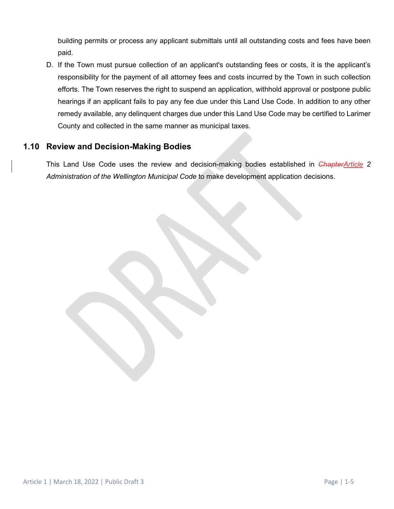building permits or process any applicant submittals until all outstanding costs and fees have been paid.

D. If the Town must pursue collection of an applicant's outstanding fees or costs, it is the applicant's responsibility for the payment of all attorney fees and costs incurred by the Town in such collection efforts. The Town reserves the right to suspend an application, withhold approval or postpone public hearings if an applicant fails to pay any fee due under this Land Use Code. In addition to any other remedy available, any delinquent charges due under this Land Use Code may be certified to Larimer County and collected in the same manner as municipal taxes.

### **1.10 Review and Decision-Making Bodies**

This Land Use Code uses the review and decision-making bodies established in *ChapterArticle 2 Administration of the Wellington Municipal Code* to make development application decisions.